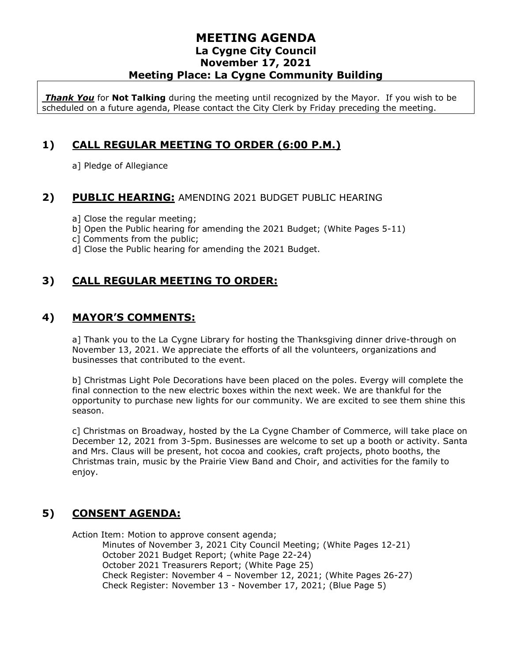*Thank You* for **Not Talking** during the meeting until recognized by the Mayor. If you wish to be scheduled on a future agenda, Please contact the City Clerk by Friday preceding the meeting.

## **1) CALL REGULAR MEETING TO ORDER (6:00 P.M.)**

a] Pledge of Allegiance

### **2) PUBLIC HEARING:** AMENDING 2021 BUDGET PUBLIC HEARING

- a] Close the regular meeting;
- b] Open the Public hearing for amending the 2021 Budget; (White Pages 5-11)
- c] Comments from the public;
- d] Close the Public hearing for amending the 2021 Budget.

## **3) CALL REGULAR MEETING TO ORDER:**

## **4) MAYOR'S COMMENTS:**

a] Thank you to the La Cygne Library for hosting the Thanksgiving dinner drive-through on November 13, 2021. We appreciate the efforts of all the volunteers, organizations and businesses that contributed to the event.

b] Christmas Light Pole Decorations have been placed on the poles. Evergy will complete the final connection to the new electric boxes within the next week. We are thankful for the opportunity to purchase new lights for our community. We are excited to see them shine this season.

c] Christmas on Broadway, hosted by the La Cygne Chamber of Commerce, will take place on December 12, 2021 from 3-5pm. Businesses are welcome to set up a booth or activity. Santa and Mrs. Claus will be present, hot cocoa and cookies, craft projects, photo booths, the Christmas train, music by the Prairie View Band and Choir, and activities for the family to enjoy.

## **5) CONSENT AGENDA:**

Action Item: Motion to approve consent agenda; Minutes of November 3, 2021 City Council Meeting; (White Pages 12-21) October 2021 Budget Report; (white Page 22-24) October 2021 Treasurers Report; (White Page 25) Check Register: November 4 – November 12, 2021; (White Pages 26-27) Check Register: November 13 - November 17, 2021; (Blue Page 5)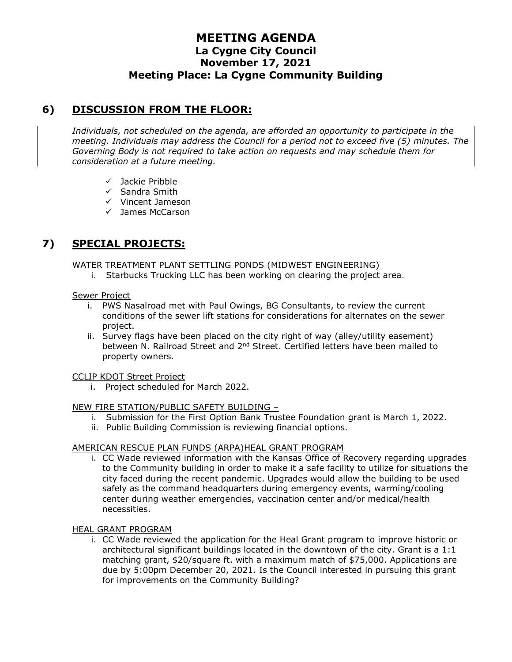## **6) DISCUSSION FROM THE FLOOR:**

*Individuals, not scheduled on the agenda, are afforded an opportunity to participate in the meeting. Individuals may address the Council for a period not to exceed five (5) minutes. The Governing Body is not required to take action on requests and may schedule them for consideration at a future meeting.* 

- ✓ Jackie Pribble
- ✓ Sandra Smith
- ✓ Vincent Jameson
- ✓ James McCarson

## **7) SPECIAL PROJECTS:**

#### WATER TREATMENT PLANT SETTLING PONDS (MIDWEST ENGINEERING)

i. Starbucks Trucking LLC has been working on clearing the project area.

#### Sewer Project

- i. PWS Nasalroad met with Paul Owings, BG Consultants, to review the current conditions of the sewer lift stations for considerations for alternates on the sewer project.
- ii. Survey flags have been placed on the city right of way (alley/utility easement) between N. Railroad Street and  $2<sup>nd</sup>$  Street. Certified letters have been mailed to property owners.

#### CCLIP KDOT Street Project

i. Project scheduled for March 2022.

#### NEW FIRE STATION/PUBLIC SAFETY BUILDING –

- i. Submission for the First Option Bank Trustee Foundation grant is March 1, 2022.
- ii. Public Building Commission is reviewing financial options.

#### AMERICAN RESCUE PLAN FUNDS (ARPA)HEAL GRANT PROGRAM

i. CC Wade reviewed information with the Kansas Office of Recovery regarding upgrades to the Community building in order to make it a safe facility to utilize for situations the city faced during the recent pandemic. Upgrades would allow the building to be used safely as the command headquarters during emergency events, warming/cooling center during weather emergencies, vaccination center and/or medical/health necessities.

#### HEAL GRANT PROGRAM

i. CC Wade reviewed the application for the Heal Grant program to improve historic or architectural significant buildings located in the downtown of the city. Grant is a 1:1 matching grant, \$20/square ft. with a maximum match of \$75,000. Applications are due by 5:00pm December 20, 2021. Is the Council interested in pursuing this grant for improvements on the Community Building?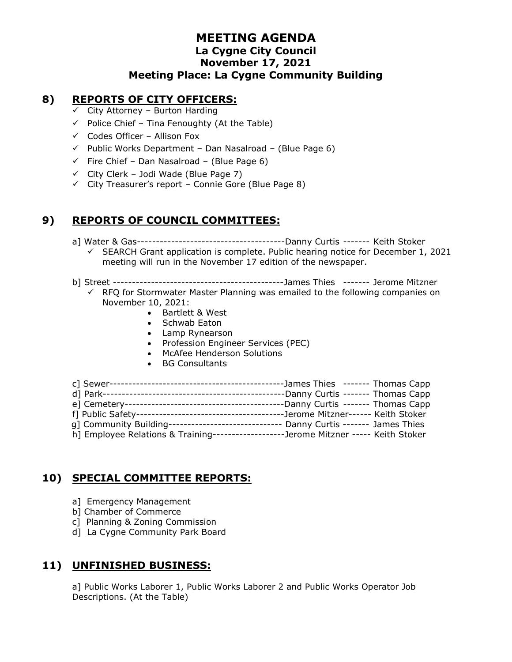#### **8) REPORTS OF CITY OFFICERS:**

- $\checkmark$  City Attorney Burton Harding
- $\checkmark$  Police Chief Tina Fenoughty (At the Table)
- $\checkmark$  Codes Officer Allison Fox
- $\checkmark$  Public Works Department Dan Nasalroad (Blue Page 6)
- $\checkmark$  Fire Chief Dan Nasalroad (Blue Page 6)
- $\checkmark$  City Clerk Jodi Wade (Blue Page 7)
- $\checkmark$  City Treasurer's report Connie Gore (Blue Page 8)

## **9) REPORTS OF COUNCIL COMMITTEES:**

- a] Water & Gas---------------------------------------Danny Curtis ------- Keith Stoker  $\checkmark$  SEARCH Grant application is complete. Public hearing notice for December 1, 2021 meeting will run in the November 17 edition of the newspaper.
- b] Street ---------------------------------------------James Thies ------- Jerome Mitzner
	- $\checkmark$  RFQ for Stormwater Master Planning was emailed to the following companies on November 10, 2021:
		- Bartlett & West
		- Schwab Eaton
		- Lamp Rynearson
		- Profession Engineer Services (PEC)
		- McAfee Henderson Solutions
		- BG Consultants

|                                                                                      | --James Thies ------- Thomas Capp   |  |
|--------------------------------------------------------------------------------------|-------------------------------------|--|
|                                                                                      |                                     |  |
|                                                                                      | ---Danny Curtis ------- Thomas Capp |  |
|                                                                                      |                                     |  |
| q] Community Building-------------------------                                       | Danny Curtis ------- James Thies    |  |
| h] Employee Relations & Training-------------------Jerome Mitzner ----- Keith Stoker |                                     |  |
|                                                                                      |                                     |  |

## **10) SPECIAL COMMITTEE REPORTS:**

- a] Emergency Management
- b] Chamber of Commerce
- c] Planning & Zoning Commission
- d] La Cygne Community Park Board

### **11) UNFINISHED BUSINESS:**

a] Public Works Laborer 1, Public Works Laborer 2 and Public Works Operator Job Descriptions. (At the Table)